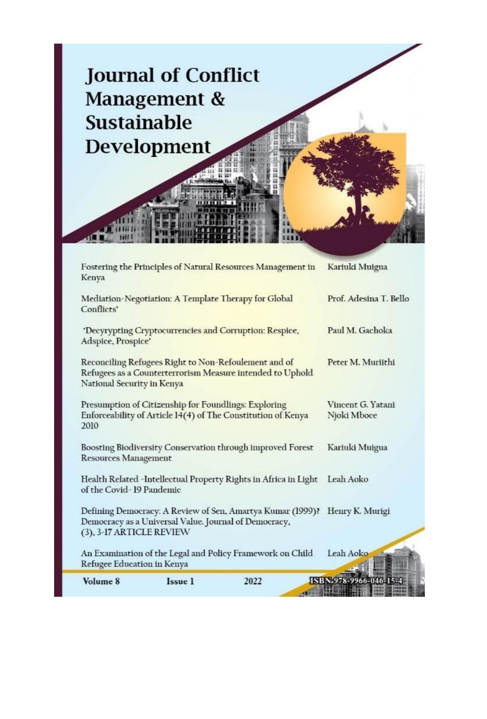

| Volume 8                                                                          | Issue 1 | 2022                                                                                                              | ISBN 978-9966-046-15-            |  |
|-----------------------------------------------------------------------------------|---------|-------------------------------------------------------------------------------------------------------------------|----------------------------------|--|
| Refugee Education in Kenya                                                        |         | An Examination of the Legal and Policy Framework on Child                                                         | Leah Aoko                        |  |
| Democracy as a Universal Value. Journal of Democracy,<br>(3), 3-17 ARTICLE REVIEW |         | Defining Democracy: A Review of Sen, Amartya Kumar (1999)?                                                        | Henry K. Murigi                  |  |
| of the Covid-19 Pandemic                                                          |         | Health Related -Intellectual Property Rights in Africa in Light Leah Aoko                                         |                                  |  |
| <b>Resources Management</b>                                                       |         | Boosting Biodiversity Conservation through improved Forest                                                        | Kariuki Muigua                   |  |
| Presumption of Citizenship for Foundlings: Exploring<br>2010                      |         | Enforceability of Article 14(4) of The Constitution of Kenya                                                      | Vincent G. Yatani<br>Njoki Mboce |  |
| National Security in Kenya                                                        |         | Reconciling Refugees Right to Non-Refoulement and of<br>Refugees as a Counterterrorism Measure intended to Uphold | Peter M. Muriithi                |  |
| Adspice, Prospice'                                                                |         | 'Decyrypting Cryptocurrencies and Corruption: Respice,                                                            | Paul M. Gachoka                  |  |
| Conflicts'                                                                        |         | Mediation-Negotiation: A Template Therapy for Global                                                              | Prof. Adesina T. Bello           |  |
| Kenya                                                                             |         | Fostering the Principles of Natural Resources Management in                                                       | Kariuki Muigua                   |  |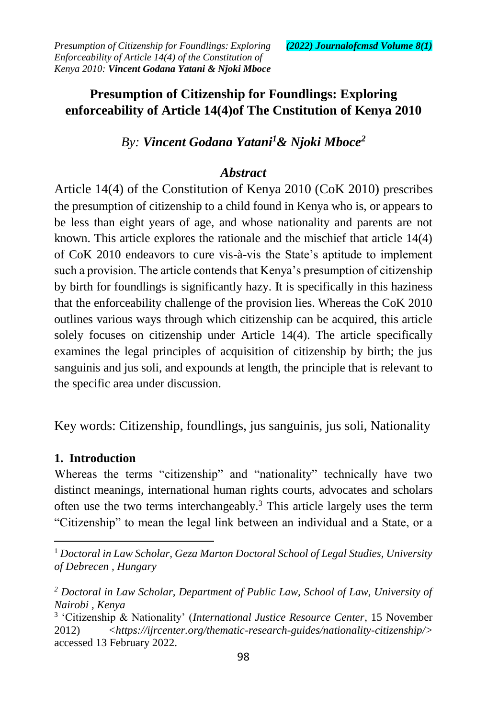# **Presumption of Citizenship for Foundlings: Exploring enforceability of Article 14(4)of The Cnstitution of Kenya 2010**

*By: Vincent Godana Yatani<sup>1</sup>& Njoki Mboce<sup>2</sup>*

## *Abstract*

Article 14(4) of the Constitution of Kenya 2010 (CoK 2010) prescribes the presumption of citizenship to a child found in Kenya who is, or appears to be less than eight years of age, and whose nationality and parents are not known. This article explores the rationale and the mischief that article 14(4) of CoK 2010 endeavors to cure vis-à-vis the State's aptitude to implement such a provision. The article contends that Kenya's presumption of citizenship by birth for foundlings is significantly hazy. It is specifically in this haziness that the enforceability challenge of the provision lies. Whereas the CoK 2010 outlines various ways through which citizenship can be acquired, this article solely focuses on citizenship under Article 14(4). The article specifically examines the legal principles of acquisition of citizenship by birth; the jus sanguinis and jus soli, and expounds at length, the principle that is relevant to the specific area under discussion.

Key words: Citizenship, foundlings, jus sanguinis, jus soli, Nationality

## **1. Introduction**

 $\overline{a}$ 

Whereas the terms "citizenship" and "nationality" technically have two distinct meanings, international human rights courts, advocates and scholars often use the two terms interchangeably.<sup>3</sup> This article largely uses the term "Citizenship" to mean the legal link between an individual and a State, or a

<sup>1</sup> *Doctoral in Law Scholar, Geza Marton Doctoral School of Legal Studies, University of Debrecen , Hungary*

*<sup>2</sup> Doctoral in Law Scholar, Department of Public Law, School of Law, University of Nairobi , Kenya*

<sup>3</sup> 'Citizenship & Nationality' (*International Justice Resource Center*, 15 November 2012) *<https://ijrcenter.org/thematic-research-guides/nationality-citizenship/>* accessed 13 February 2022.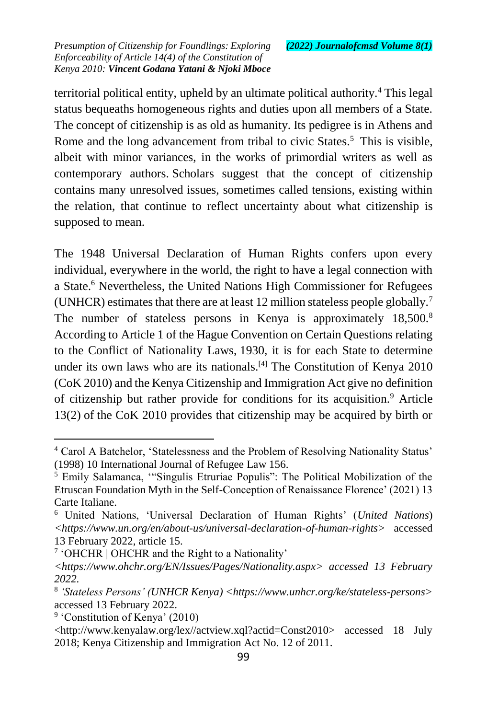territorial political entity, upheld by an ultimate political authority.<sup>4</sup> This legal status bequeaths homogeneous rights and duties upon all members of a State. The concept of citizenship is as old as humanity. Its pedigree is in Athens and Rome and the long advancement from tribal to civic States.<sup>5</sup> This is visible, albeit with minor variances, in the works of primordial writers as well as contemporary authors. Scholars suggest that the concept of citizenship contains many unresolved issues, sometimes called tensions, existing within the relation, that continue to reflect uncertainty about what citizenship is supposed to mean.

The 1948 Universal Declaration of Human Rights confers upon every individual, everywhere in the world, the right to have a legal connection with a State.<sup>6</sup> Nevertheless, the United Nations High Commissioner for Refugees (UNHCR) estimates that there are at least 12 million stateless people globally.<sup>7</sup> The number of stateless persons in Kenya is approximately 18,500.<sup>8</sup> According to Article 1 of the Hague Convention on Certain Questions relating to the Conflict of Nationality Laws, 1930, it is for each State to determine under its own laws who are its nationals.<sup>[\[4\]](https://mc.manuscriptcentral.com/mlr?DOWNLOAD=TRUE&PARAMS=xik_2uW4P7mVyT1vLdq6yt2qMhYxt6FZeKC1rMx9xCbm1RAsj7sLrBTp8sVAee46627tJy9yBfPQPSHEzgy5hVLDUgNYWEWAGHSsXR4XtPnJ4RWdz4nxoQhojz6zUZpPqdobk9eKMpWEmUENRk7LJME4BzrUHWrKPSDMYDfwpDZtcaLcd1VdM5zL5xgJgnEMVP5E6nRhLB74oQ3xrFPCCSUXBkCgo5x54v235GojZvLQrrwaX36NVi1KzNVrB6NF6nputA5QDVr#_ftn4)</sup> The Constitution of Kenya 2010 (CoK 2010) and the Kenya Citizenship and Immigration Act give no definition of citizenship but rather provide for conditions for its acquisition.<sup>9</sup> Article 13(2) of the CoK 2010 provides that citizenship may be acquired by birth or

<sup>4</sup> Carol A Batchelor, 'Statelessness and the Problem of Resolving Nationality Status' (1998) 10 International Journal of Refugee Law 156.

<sup>5</sup> Emily Salamanca, '"Singulis Etruriae Populis": The Political Mobilization of the Etruscan Foundation Myth in the Self-Conception of Renaissance Florence' (2021) 13 Carte Italiane.

<sup>6</sup> United Nations, 'Universal Declaration of Human Rights' (*United Nations*) *<https://www.un.org/en/about-us/universal-declaration-of-human-rights>* accessed 13 February 2022, article 15.

<sup>&</sup>lt;sup>7</sup> 'OHCHR | OHCHR and the Right to a Nationality'

*<sup>&</sup>lt;https://www.ohchr.org/EN/Issues/Pages/Nationality.aspx> accessed 13 February 2022.*

<sup>8</sup> *'Stateless Persons' (UNHCR Kenya) <https://www.unhcr.org/ke/stateless-persons>* accessed 13 February 2022.

<sup>&</sup>lt;sup>9</sup> 'Constitution of Kenya' (2010)

<sup>&</sup>lt;http://www.kenyalaw.org/lex//actview.xql?actid=Const2010> accessed 18 July 2018; Kenya Citizenship and Immigration Act No. 12 of 2011.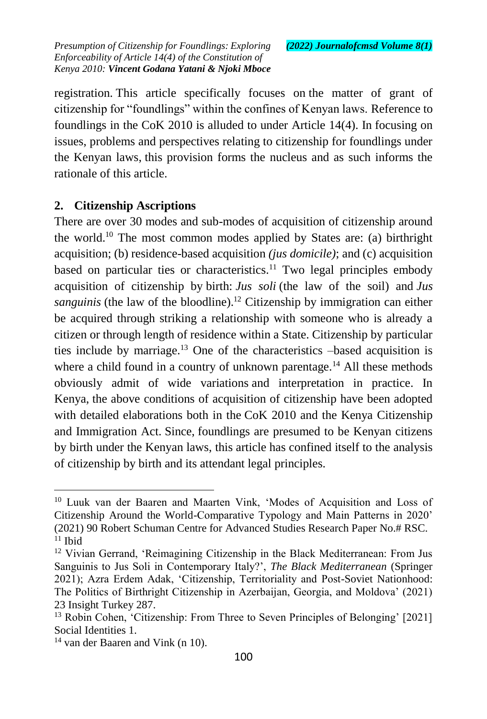registration. This article specifically focuses on the matter of grant of citizenship for "foundlings" within the confines of Kenyan laws. Reference to foundlings in the CoK 2010 is alluded to under Article 14(4). In focusing on issues, problems and perspectives relating to citizenship for foundlings under the Kenyan laws, this provision forms the nucleus and as such informs the rationale of this article.

## **2. Citizenship Ascriptions**

There are over 30 modes and sub-modes of acquisition of citizenship around the world.<sup>10</sup> The most common modes applied by States are: (a) birthright acquisition; (b) residence-based acquisition *(jus domicile)*; and (c) acquisition based on particular ties or characteristics.<sup>11</sup> Two legal principles embody acquisition of citizenship by birth: *Jus soli* (the law of the soil) and *Jus sanguinis* (the law of the bloodline).<sup>12</sup> Citizenship by immigration can either be acquired through striking a relationship with someone who is already a citizen or through length of residence within a State. Citizenship by particular ties include by marriage.<sup>13</sup> One of the characteristics –based acquisition is where a child found in a country of unknown parentage.<sup>14</sup> All these methods obviously admit of wide variations and interpretation in practice. In Kenya, the above conditions of acquisition of citizenship have been adopted with detailed elaborations both in the CoK 2010 and the Kenya Citizenship and Immigration Act. Since, foundlings are presumed to be Kenyan citizens by birth under the Kenyan laws, this article has confined itself to the analysis of citizenship by birth and its attendant legal principles.

<sup>10</sup> Luuk van der Baaren and Maarten Vink, 'Modes of Acquisition and Loss of Citizenship Around the World-Comparative Typology and Main Patterns in 2020' (2021) 90 Robert Schuman Centre for Advanced Studies Research Paper No.# RSC.  $11$  Ibid

<sup>&</sup>lt;sup>12</sup> Vivian Gerrand, 'Reimagining Citizenship in the Black Mediterranean: From Jus Sanguinis to Jus Soli in Contemporary Italy?', *The Black Mediterranean* (Springer 2021); Azra Erdem Adak, 'Citizenship, Territoriality and Post-Soviet Nationhood: The Politics of Birthright Citizenship in Azerbaijan, Georgia, and Moldova' (2021) 23 Insight Turkey 287.

<sup>&</sup>lt;sup>13</sup> Robin Cohen, 'Citizenship: From Three to Seven Principles of Belonging' [2021] Social Identities 1.

<sup>14</sup> van der Baaren and Vink (n 10).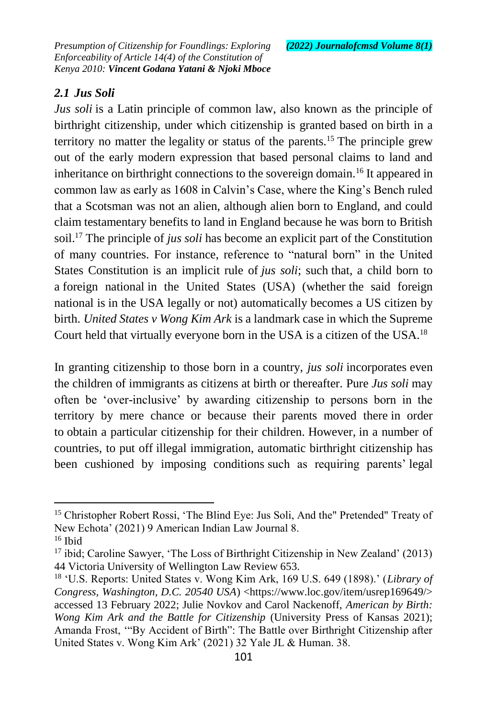## *2.1 Jus Soli*

*Jus soli* is a Latin principle of common law, also known as the principle of birthright citizenship, under which citizenship is granted based on birth in a territory no matter the legality or status of the parents.<sup>15</sup> The principle grew out of the early modern expression that based personal claims to land and inheritance on birthright connections to the sovereign domain.<sup>16</sup> It appeared in common law as early as 1608 in Calvin's Case, where the King's Bench ruled that a Scotsman was not an alien, although alien born to England, and could claim testamentary benefits to land in England because he was born to British soil.<sup>17</sup> The principle of *jus soli* has become an explicit part of the Constitution of many countries. For instance, reference to "natural born" in the United States Constitution is an implicit rule of *jus soli*; such that, a child born to a foreign national in the United States (USA) (whether the said foreign national is in the USA legally or not) automatically becomes a US citizen by birth. *United States v Wong Kim Ark* is a landmark case in which the Supreme Court held that virtually everyone born in the USA is a [citizen](http://en.wikipedia.org/wiki/Citizenship_in_the_United_States) of the USA.<sup>18</sup>

In granting citizenship to those born in a country, *jus soli* incorporates even the children of immigrants as citizens at birth or thereafter. Pure *Jus soli* may often be 'over-inclusive' by awarding citizenship to persons born in the territory by mere chance or because their parents moved there in order to obtain a particular citizenship for their children. However, in a number of countries, to put off [illegal immigration,](http://en.wikipedia.org/wiki/Illegal_immigration) automatic birthright citizenship has been cushioned by imposing conditions such as requiring parents' legal

<sup>&</sup>lt;sup>15</sup> Christopher Robert Rossi, 'The Blind Eye: Jus Soli, And the" Pretended" Treaty of New Echota' (2021) 9 American Indian Law Journal 8.

 $16$  Ibid

<sup>17</sup> ibid; Caroline Sawyer, 'The Loss of Birthright Citizenship in New Zealand' (2013) 44 Victoria University of Wellington Law Review 653.

<sup>18</sup> 'U.S. Reports: United States v. Wong Kim Ark, 169 U.S. 649 (1898).' (*Library of Congress, Washington, D.C. 20540 USA*) <https://www.loc.gov/item/usrep169649/> accessed 13 February 2022; Julie Novkov and Carol Nackenoff, *American by Birth: Wong Kim Ark and the Battle for Citizenship* (University Press of Kansas 2021); Amanda Frost, '"By Accident of Birth": The Battle over Birthright Citizenship after United States v. Wong Kim Ark' (2021) 32 Yale JL & Human. 38.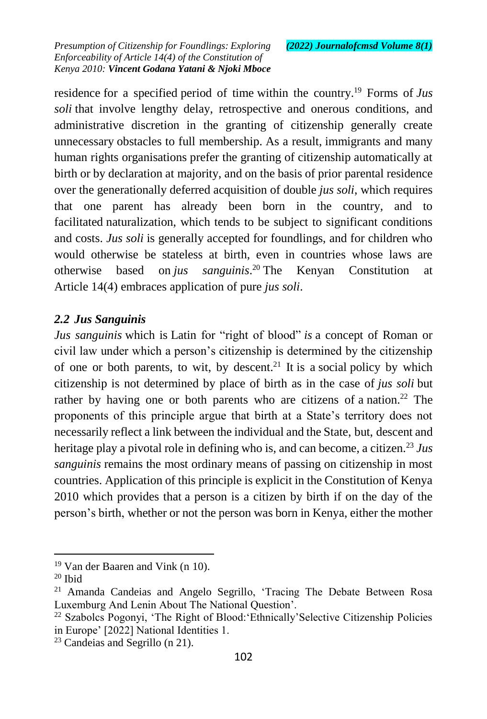residence for a specified period of time within the country.<sup>19</sup> Forms of *Jus soli* that involve lengthy delay, retrospective and onerous conditions, and administrative discretion in the granting of citizenship generally create unnecessary obstacles to full membership. As a result, immigrants and many human rights organisations prefer the granting of citizenship automatically at birth or by declaration at majority, and on the basis of prior parental residence over the generationally deferred acquisition of double *jus soli*, which requires that one parent has already been born in the country, and to facilitated naturalization, which tends to be subject to significant conditions and costs. *Jus soli* is generally accepted for foundlings, and for children who would otherwise be stateless at birth, even in countries whose laws are otherwise based on *jus sanguinis*. <sup>20</sup> The Kenyan Constitution at Article 14(4) embraces application of pure *jus soli*.

#### *2.2 Jus Sanguinis*

*Jus sanguinis* which is [Latin](http://en.wikipedia.org/wiki/Latin_language) for "right of blood" *is* a concept of Roman or civil law under which a person's citizenship is determined by the citizenship of one or both parents, to wit, by descent. $21$  It is a [social](http://en.wikipedia.org/wiki/Social_policy) policy by which citizenship is not determined by place of birth as in the case of *jus soli* but rather by having one or both parents who are citizens of a nation.<sup>22</sup> The proponents of this principle argue that birth at a State's territory does not necessarily reflect a link between the individual and the State, but, descent and heritage play a pivotal role in defining who is, and can become, a citizen.<sup>23</sup> Jus *sanguinis* remains the most ordinary means of passing on citizenship in most countries. Application of this principle is explicit in the Constitution of Kenya 2010 which provides that a person is a citizen by birth if on the day of the person's birth, whether or not the person was born in Kenya, either the mother

<sup>19</sup> Van der Baaren and Vink (n 10).

 $20$  Ibid

<sup>&</sup>lt;sup>21</sup> Amanda Candeias and Angelo Segrillo, 'Tracing The Debate Between Rosa Luxemburg And Lenin About The National Question'.

<sup>22</sup> Szabolcs Pogonyi, 'The Right of Blood:'Ethnically'Selective Citizenship Policies in Europe' [2022] National Identities 1.

<sup>23</sup> Candeias and Segrillo (n 21).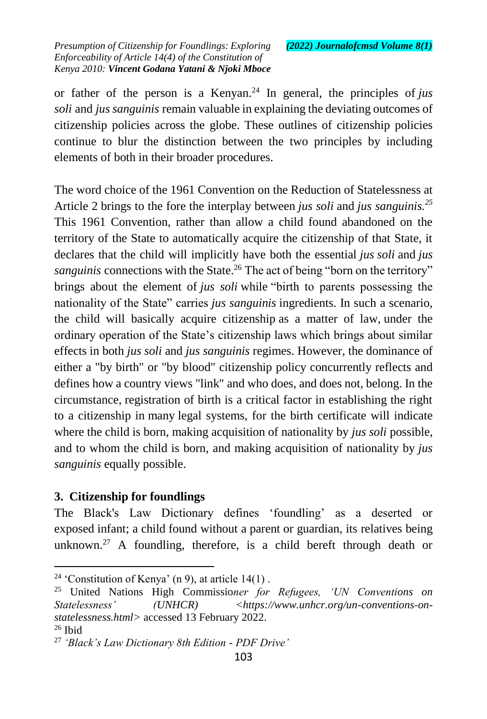or father of the person is a Kenyan.<sup>24</sup> In general, the principles of *jus soli* and *jus sanguinis* remain valuable in explaining the deviating outcomes of citizenship policies across the globe. These outlines of citizenship policies continue to blur the distinction between the two principles by including elements of both in their broader procedures.

The word choice of the 1961 Convention on the Reduction of Statelessness at Article 2 brings to the fore the interplay between *jus soli* and *jus sanguinis.<sup>25</sup>* This 1961 Convention, rather than allow a child found abandoned on the territory of the State to automatically acquire the citizenship of that State, it declares that the child will implicitly have both the essential *jus soli* and *jus sanguinis* connections with the State.<sup>26</sup> The act of being "born on the territory" brings about the element of *jus soli* while "birth to parents possessing the nationality of the State" carries *jus sanguinis* ingredients. In such a scenario, the child will basically acquire citizenship as a matter of law, under the ordinary operation of the State's citizenship laws which brings about similar effects in both *jus soli* and *jus sanguinis* regimes. However, the dominance of either a "by birth" or "by blood" citizenship policy concurrently reflects and defines how a country views "link" and who does, and does not, belong. In the circumstance, registration of birth is a critical factor in establishing the right to a citizenship in many legal systems, for the birth certificate will indicate where the child is born, making acquisition of nationality by *jus soli* possible, and to whom the child is born, and making acquisition of nationality by *jus sanguinis* equally possible.

## **3. Citizenship for foundlings**

The Black's Law Dictionary defines 'foundling' as a deserted or exposed [infant;](http://blackslawdictionary.org/infant/) a [child](http://blackslawdictionary.org/child/) found without a [parent](http://blackslawdictionary.org/parent/) or guardian, its relatives being unknown.<sup>27</sup> A foundling, therefore, is a child bereft through death or

 $\overline{a}$ <sup>24</sup> 'Constitution of Kenya' (n 9), at article  $14(1)$ .

<sup>25</sup> United Nations High Commissio*ner for Refugees, 'UN Conventions on*  Statelessness' (UNHCR) <https://www.unhcr.org/un-conventions-on*statelessness.html>* accessed 13 February 2022.  $26$  Ibid

<sup>27</sup> *'Black's Law Dictionary 8th Edition - PDF Drive'*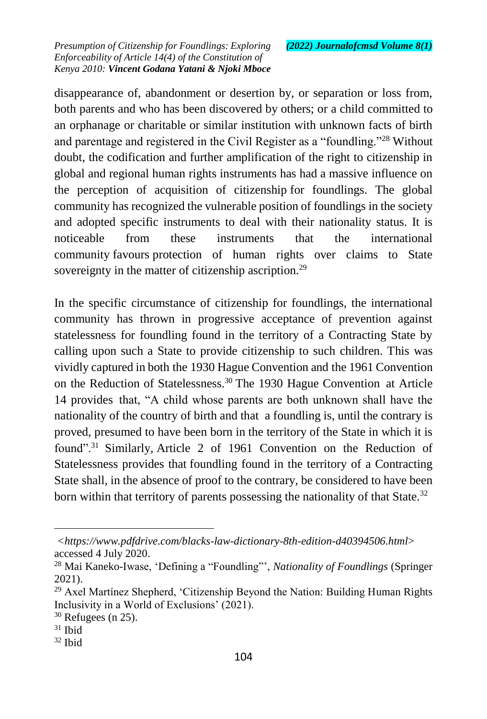disappearance of, abandonment or desertion by, or separation or loss from, both parents and who has been discovered by others; or a child committed to an orphanage or charitable or similar institution with unknown facts of birth and parentage and registered in the Civil Register as a "foundling."<sup>28</sup> Without doubt, the codification and further amplification of the right to citizenship in global and regional human rights instruments has had a massive influence on the perception of acquisition of citizenship for foundlings. The global community has recognized the vulnerable position of foundlings in the society and adopted specific instruments to deal with their nationality status. It is noticeable from these instruments that the international community favours protection of human rights over claims to State sovereignty in the matter of citizenship ascription.<sup>29</sup>

In the specific circumstance of citizenship for foundlings, the international community has thrown in progressive acceptance of prevention against statelessness for foundling found in the territory of a Contracting State by calling upon such a State to provide citizenship to such children. This was vividly captured in both the 1930 Hague Convention and the 1961 Convention on the Reduction of Statelessness.<sup>30</sup> The 1930 Hague Convention at Article 14 provides that, "A child whose parents are both unknown shall have the nationality of the country of birth and that a foundling is, until the contrary is proved, presumed to have been born in the territory of the State in which it is found".<sup>31</sup> Similarly, Article 2 of 1961 Convention on the Reduction of Statelessness provides that foundling found in the territory of a Contracting State shall, in the absence of proof to the contrary, be considered to have been born within that territory of parents possessing the nationality of that State.<sup>32</sup>

 $\overline{a}$ *<https://www.pdfdrive.com/blacks-law-dictionary-8th-edition-d40394506.html*> accessed 4 July 2020.

<sup>28</sup> Mai Kaneko-Iwase, 'Defining a "Foundling"', *Nationality of Foundlings* (Springer 2021).

<sup>29</sup> Axel Martínez Shepherd, 'Citizenship Beyond the Nation: Building Human Rights Inclusivity in a World of Exclusions' (2021).

 $30$  Refugees (n 25).

<sup>31</sup> Ibid

 $32$  Ibid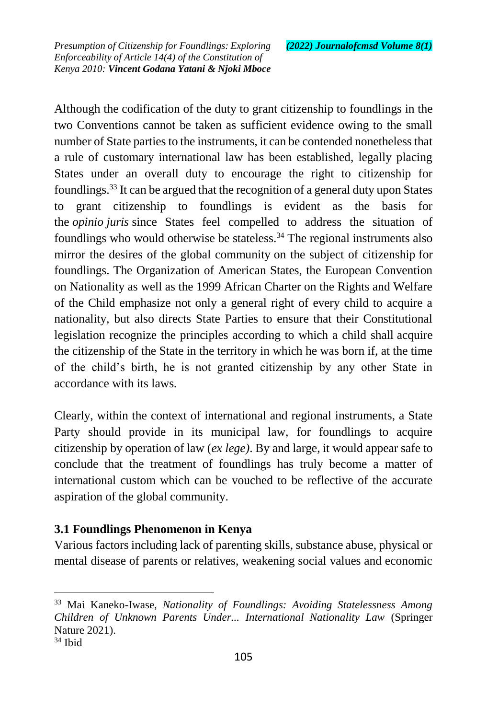Although the codification of the duty to grant citizenship to foundlings in the two Conventions cannot be taken as sufficient evidence owing to the small number of State parties to the instruments, it can be contended nonetheless that a rule of customary international law has been established, legally placing States under an overall duty to encourage the right to citizenship for foundlings.<sup>33</sup> It can be argued that the recognition of a general duty upon States to grant citizenship to foundlings is evident as the basis for the *opinio juris* since States feel compelled to address the situation of foundlings who would otherwise be stateless.<sup>34</sup> The regional instruments also mirror the desires of the global community on the subject of citizenship for foundlings. The Organization of American States, the European Convention on Nationality as well as the 1999 African Charter on the Rights and Welfare of the Child emphasize not only a general right of every child to acquire a nationality, but also directs State Parties to ensure that their Constitutional legislation recognize the principles according to which a child shall acquire the citizenship of the State in the territory in which he was born if, at the time of the child's birth, he is not granted citizenship by any other State in accordance with its laws.

Clearly, within the context of international and regional instruments, a State Party should provide in its municipal law, for foundlings to acquire citizenship by operation of law (*ex lege)*. By and large, it would appear safe to conclude that the treatment of foundlings has truly become a matter of international custom which can be vouched to be reflective of the accurate aspiration of the global community.

## **3.1 Foundlings Phenomenon in Kenya**

Various factors including lack of parenting skills, substance abuse, physical or mental disease of parents or relatives, weakening social values and economic

<sup>33</sup> Mai Kaneko-Iwase, *Nationality of Foundlings: Avoiding Statelessness Among Children of Unknown Parents Under... International Nationality Law* (Springer Nature 2021).

 $34$  Ibid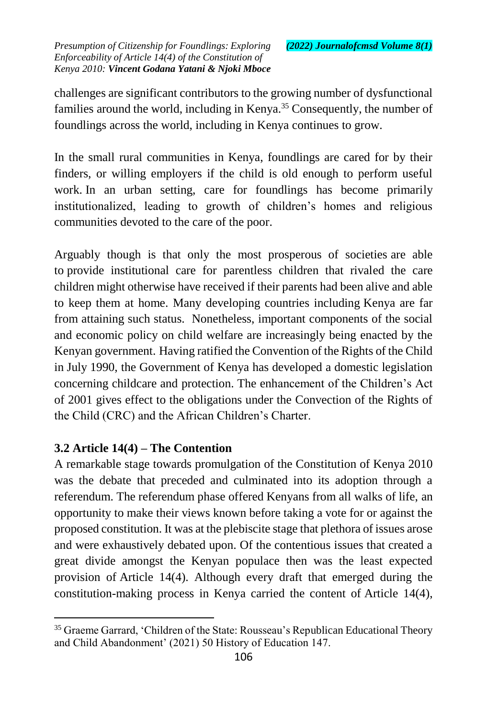challenges are significant contributors to the growing number of dysfunctional families around the world, including in Kenya.<sup>35</sup> Consequently, the number of foundlings across the world, including in Kenya continues to grow.

In the small rural communities in Kenya, foundlings are cared for by their finders, or willing employers if the child is old enough to perform useful work. In an urban setting, care for foundlings has become primarily institutionalized, leading to growth of children's homes and religious communities devoted to the care of the poor.

Arguably though is that only the most prosperous of societies are able to provide institutional care for parentless children that rivaled the care children might otherwise have received if their parents had been alive and able to keep them at home. Many developing countries including Kenya are far from attaining such status. Nonetheless, important components of the social and economic policy on child welfare are increasingly being enacted by the Kenyan government. Having ratified the Convention of the Rights of the Child in July 1990, the Government of Kenya has developed a domestic legislation concerning childcare and protection. The enhancement of the Children's Act of 2001 gives effect to the obligations under the Convection of the Rights of the Child (CRC) and the African Children's Charter.

# **3.2 Article 14(4) – The Contention**

 $\overline{a}$ 

A remarkable stage towards promulgation of the Constitution of Kenya 2010 was the debate that preceded and culminated into its adoption through a referendum. The referendum phase offered Kenyans from all walks of life, an opportunity to make their views known before taking a vote for or against the proposed constitution. It was at the plebiscite stage that plethora of issues arose and were exhaustively debated upon. Of the contentious issues that created a great divide amongst the Kenyan populace then was the least expected provision of Article 14(4). Although every draft that emerged during the constitution-making process in Kenya carried the content of Article 14(4),

<sup>&</sup>lt;sup>35</sup> Graeme Garrard, 'Children of the State: Rousseau's Republican Educational Theory and Child Abandonment' (2021) 50 History of Education 147.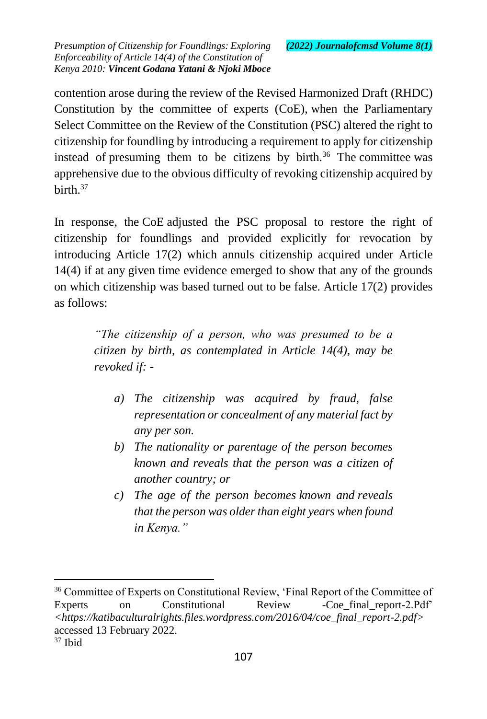contention arose during the review of the Revised Harmonized Draft (RHDC) Constitution by the committee of experts (CoE), when the Parliamentary Select Committee on the Review of the Constitution (PSC) altered the right to citizenship for foundling by introducing a requirement to apply for citizenship instead of presuming them to be citizens by birth. $36$  The committee was apprehensive due to the obvious difficulty of revoking citizenship acquired by hirth  $37$ 

In response, the CoE adjusted the PSC proposal to restore the right of citizenship for foundlings and provided explicitly for revocation by introducing Article 17(2) which annuls citizenship acquired under Article 14(4) if at any given time evidence emerged to show that any of the grounds on which citizenship was based turned out to be false. Article 17(2) provides as follows:

> *"The citizenship of a person, who was presumed to be a citizen by birth, as contemplated in Article 14(4), may be revoked if: -*

- *a) The citizenship was acquired by fraud, false representation or concealment of any material fact by any per son.*
- *b) The nationality or parentage of the person becomes known and reveals that the person was a citizen of another country; or*
- *c) The age of the person becomes known and reveals that the person was older than eight years when found in Kenya."*

<sup>36</sup> Committee of Experts on Constitutional Review, 'Final Report of the Committee of Experts on Constitutional Review -Coe-final report-2.Pdf' *<https://katibaculturalrights.files.wordpress.com/2016/04/coe\_final\_report-2.pdf>* accessed 13 February 2022.

 $37$  Ibid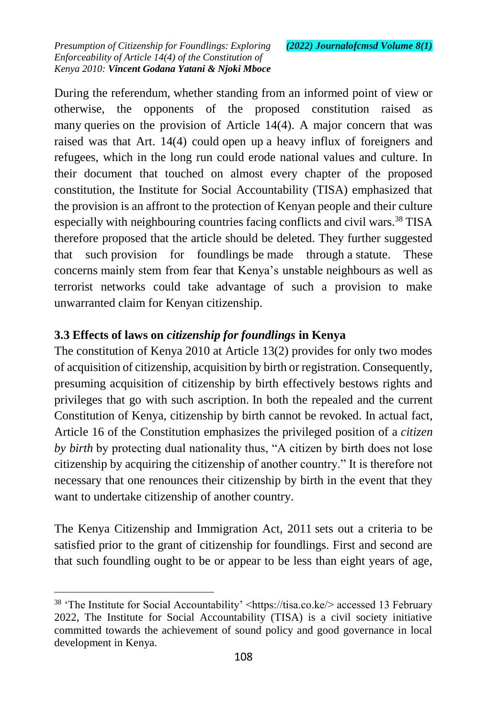During the referendum, whether standing from an informed point of view or otherwise, the opponents of the proposed constitution raised as many queries on the provision of Article 14(4). A major concern that was raised was that Art. 14(4) could open up a heavy influx of foreigners and refugees, which in the long run could erode national values and culture. In their document that touched on almost every chapter of the proposed constitution, the Institute for Social Accountability (TISA) emphasized that the provision is an affront to the protection of Kenyan people and their culture especially with neighbouring countries facing conflicts and civil wars.<sup>38</sup> TISA therefore proposed that the article should be deleted. They further suggested that such provision for foundlings be made through a statute. These concerns mainly stem from fear that Kenya's unstable neighbours as well as terrorist networks could take advantage of such a provision to make unwarranted claim for Kenyan citizenship.

#### **3.3 Effects of laws on** *citizenship for foundlings* **in Kenya**

The constitution of Kenya 2010 at Article 13(2) provides for only two modes of acquisition of citizenship, acquisition by birth or registration. Consequently, presuming acquisition of citizenship by birth effectively bestows rights and privileges that go with such ascription. In both the repealed and the current Constitution of Kenya, citizenship by birth cannot be revoked. In actual fact, Article 16 of the Constitution emphasizes the privileged position of a *citizen by birth* by protecting dual nationality thus, "A citizen by birth does not lose citizenship by acquiring the citizenship of another country." It is therefore not necessary that one renounces their citizenship by birth in the event that they want to undertake citizenship of another country.

The Kenya Citizenship and Immigration Act, 2011 sets out a criteria to be satisfied prior to the grant of citizenship for foundlings. First and second are that such foundling ought to be or appear to be less than eight years of age,

<sup>&</sup>lt;sup>38</sup> 'The Institute for Social Accountability' <https://tisa.co.ke/> accessed 13 February 2022, The Institute for Social Accountability (TISA) is a civil society initiative committed towards the achievement of sound policy and good governance in local development in Kenya.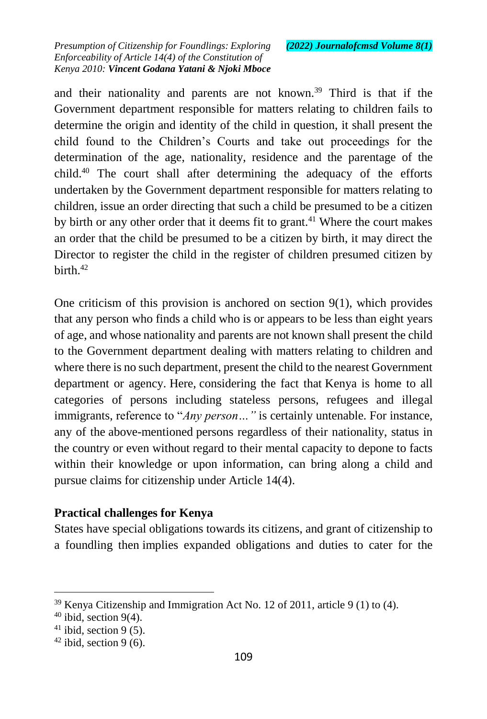and their nationality and parents are not known.<sup>39</sup> Third is that if the Government department responsible for matters relating to children fails to determine the origin and identity of the child in question, it shall present the child found to the Children's Courts and take out proceedings for the determination of the age, nationality, residence and the parentage of the child.<sup>40</sup> The court shall after determining the adequacy of the efforts undertaken by the Government department responsible for matters relating to children, issue an order directing that such a child be presumed to be a citizen by birth or any other order that it deems fit to grant.<sup>41</sup> Where the court makes an order that the child be presumed to be a citizen by birth, it may direct the Director to register the child in the register of children presumed citizen by birth. $42$ 

One criticism of this provision is anchored on section  $9(1)$ , which provides that any person who finds a child who is or appears to be less than eight years of age, and whose nationality and parents are not known shall present the child to the Government department dealing with matters relating to children and where there is no such department, present the child to the nearest Government department or agency. Here, considering the fact that Kenya is home to all categories of persons including stateless persons, refugees and illegal immigrants, reference to "*Any person…"* is certainly untenable. For instance, any of the above-mentioned persons regardless of their nationality, status in the country or even without regard to their mental capacity to depone to facts within their knowledge or upon information, can bring along a child and pursue claims for citizenship under Article 14(4).

## **Practical challenges for Kenya**

States have special obligations towards its citizens, and grant of citizenship to a foundling then implies expanded obligations and duties to cater for the

<sup>39</sup> Kenya Citizenship and Immigration Act No. 12 of 2011, article 9 (1) to (4).

 $40$  ibid, section 9(4).

 $41$  ibid, section 9 (5).

 $42$  ibid, section 9 (6).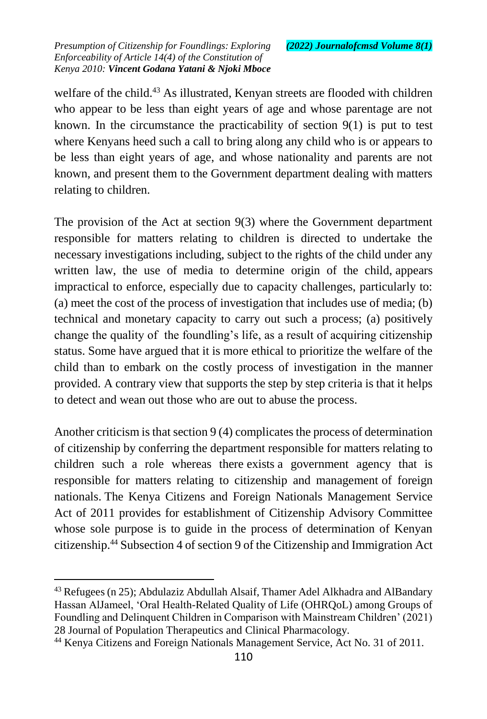welfare of the child.<sup>43</sup> As illustrated, Kenyan streets are flooded with children who appear to be less than eight years of age and whose parentage are not known. In the circumstance the practicability of section  $9(1)$  is put to test where Kenyans heed such a call to bring along any child who is or appears to be less than eight years of age, and whose nationality and parents are not known, and present them to the Government department dealing with matters relating to children.

The provision of the Act at section 9(3) where the Government department responsible for matters relating to children is directed to undertake the necessary investigations including, subject to the rights of the child under any written law, the use of media to determine origin of the child, appears impractical to enforce, especially due to capacity challenges, particularly to: (a) meet the cost of the process of investigation that includes use of media; (b) technical and monetary capacity to carry out such a process; (a) positively change the quality of the foundling's life, as a result of acquiring citizenship status. Some have argued that it is more ethical to prioritize the welfare of the child than to embark on the costly process of investigation in the manner provided. A contrary view that supports the step by step criteria is that it helps to detect and wean out those who are out to abuse the process.

Another criticism is that section 9 (4) complicates the process of determination of citizenship by conferring the department responsible for matters relating to children such a role whereas there exists a government agency that is responsible for matters relating to citizenship and management of foreign nationals. The Kenya Citizens and Foreign Nationals Management Service Act of 2011 provides for establishment of Citizenship Advisory Committee whose sole purpose is to guide in the process of determination of Kenyan citizenship.<sup>44</sup> Subsection 4 of section 9 of the Citizenship and Immigration Act

<sup>&</sup>lt;sup>43</sup> Refugees (n 25); Abdulaziz Abdullah Alsaif, Thamer Adel Alkhadra and AlBandary Hassan AlJameel, 'Oral Health-Related Quality of Life (OHRQoL) among Groups of Foundling and Delinquent Children in Comparison with Mainstream Children' (2021) 28 Journal of Population Therapeutics and Clinical Pharmacology.

<sup>44</sup> Kenya Citizens and Foreign Nationals Management Service, Act No. 31 of 2011.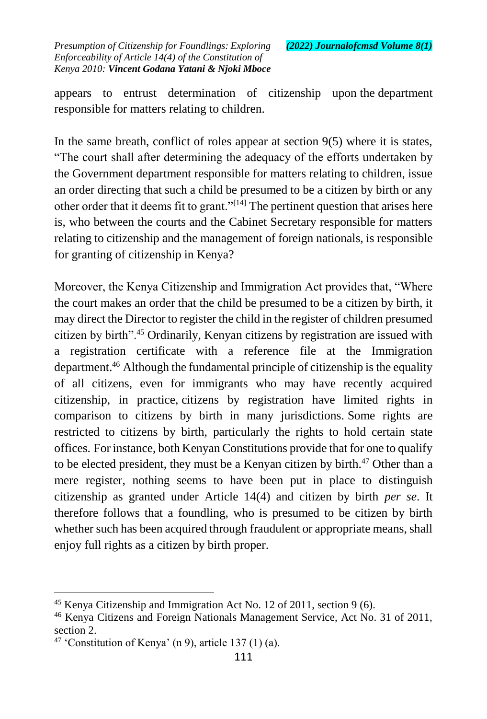appears to entrust determination of citizenship upon the department responsible for matters relating to children.

In the same breath, conflict of roles appear at section  $9(5)$  where it is states, "The court shall after determining the adequacy of the efforts undertaken by the Government department responsible for matters relating to children, issue an order directing that such a child be presumed to be a citizen by birth or any other order that it deems fit to grant."[\[14\]](https://mc.manuscriptcentral.com/mlr?DOWNLOAD=TRUE&PARAMS=xik_2uW4P7mVyT1vLdq6yt2qMhYxt6FZeKC1rMx9xCbm1RAsj7sLrBTp8sVAee46627tJy9yBfPQPSHEzgy5hVLDUgNYWEWAGHSsXR4XtPnJ4RWdz4nxoQhojz6zUZpPqdobk9eKMpWEmUENRk7LJME4BzrUHWrKPSDMYDfwpDZtcaLcd1VdM5zL5xgJgnEMVP5E6nRhLB74oQ3xrFPCCSUXBkCgo5x54v235GojZvLQrrwaX36NVi1KzNVrB6NF6nputA5QDVr#_ftn14) The pertinent question that arises here is, who between the courts and the Cabinet Secretary responsible for matters relating to citizenship and the management of foreign nationals, is responsible for granting of citizenship in Kenya?

Moreover, the Kenya Citizenship and Immigration Act provides that, "Where the court makes an order that the child be presumed to be a citizen by birth, it may direct the Director to register the child in the register of children presumed citizen by birth".<sup>45</sup> Ordinarily, Kenyan citizens by registration are issued with a registration certificate with a reference file at the Immigration department.<sup>46</sup> Although the fundamental principle of citizenship is the equality of all citizens, even for immigrants who may have recently acquired citizenship, in practice, citizens by registration have limited rights in comparison to citizens by birth in many jurisdictions. Some rights are restricted to citizens by birth, particularly the rights to hold certain state offices. For instance, both Kenyan Constitutions provide that for one to qualify to be elected president, they must be a Kenyan citizen by birth.<sup>47</sup> Other than a mere register, nothing seems to have been put in place to distinguish citizenship as granted under Article 14(4) and citizen by birth *per se*. It therefore follows that a foundling, who is presumed to be citizen by birth whether such has been acquired through fraudulent or appropriate means, shall enjoy full rights as a citizen by birth proper.

<sup>&</sup>lt;sup>45</sup> Kenya Citizenship and Immigration Act No. 12 of 2011, section 9 (6).

<sup>46</sup> Kenya Citizens and Foreign Nationals Management Service, Act No. 31 of 2011, section 2.

 $47$  'Constitution of Kenya' (n 9), article 137 (1) (a).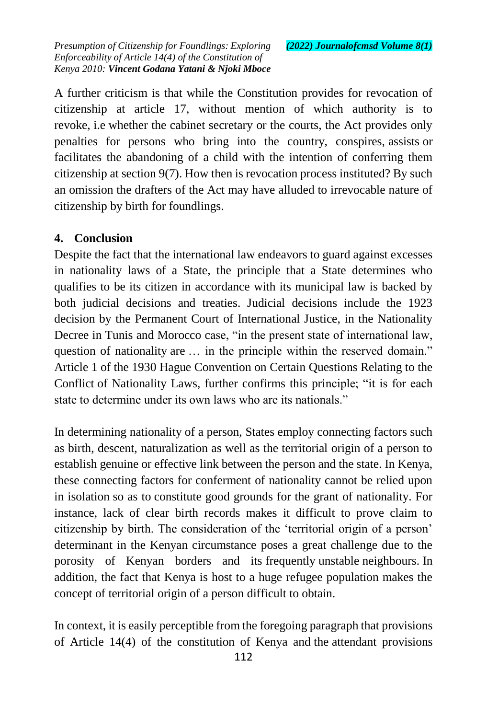A further criticism is that while the Constitution provides for revocation of citizenship at article 17, without mention of which authority is to revoke, i.e whether the cabinet secretary or the courts, the Act provides only penalties for persons who bring into the country, conspires, assists or facilitates the abandoning of a child with the intention of conferring them citizenship at section 9(7). How then is revocation process instituted? By such an omission the drafters of the Act may have alluded to irrevocable nature of citizenship by birth for foundlings.

#### **4. Conclusion**

Despite the fact that the international law endeavors to guard against excesses in nationality laws of a State, the principle that a State determines who qualifies to be its citizen in accordance with its municipal law is backed by both judicial decisions and treaties. Judicial decisions include the 1923 decision by the Permanent Court of International Justice, in the Nationality Decree in Tunis and Morocco case, "in the present state of international law, question of nationality are … in the principle within the reserved domain." Article 1 of the 1930 Hague Convention on Certain Questions Relating to the Conflict of Nationality Laws, further confirms this principle; "it is for each state to determine under its own laws who are its nationals."

In determining nationality of a person, States employ connecting factors such as birth, descent, naturalization as well as the territorial origin of a person to establish genuine or effective link between the person and the state. In Kenya, these connecting factors for conferment of nationality cannot be relied upon in isolation so as to constitute good grounds for the grant of nationality. For instance, lack of clear birth records makes it difficult to prove claim to citizenship by birth. The consideration of the 'territorial origin of a person' determinant in the Kenyan circumstance poses a great challenge due to the porosity of Kenyan borders and its frequently unstable neighbours. In addition, the fact that Kenya is host to a huge refugee population makes the concept of territorial origin of a person difficult to obtain.

In context, it is easily perceptible from the foregoing paragraph that provisions of Article 14(4) of the constitution of Kenya and the attendant provisions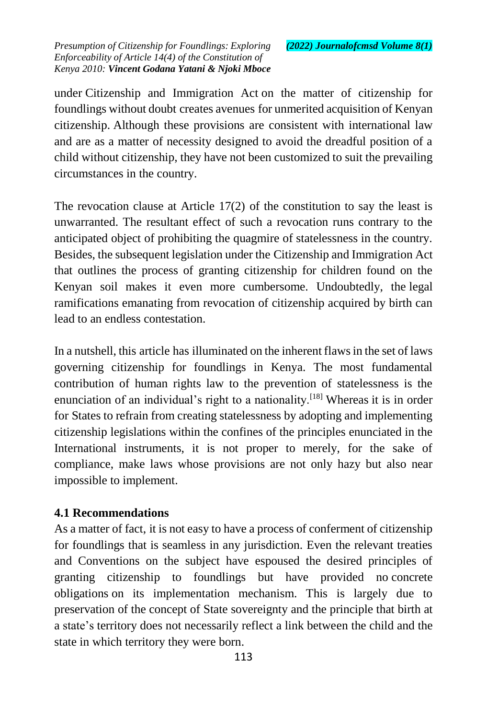under Citizenship and Immigration Act on the matter of citizenship for foundlings without doubt creates avenues for unmerited acquisition of Kenyan citizenship. Although these provisions are consistent with international law and are as a matter of necessity designed to avoid the dreadful position of a child without citizenship, they have not been customized to suit the prevailing circumstances in the country.

The revocation clause at Article 17(2) of the constitution to say the least is unwarranted. The resultant effect of such a revocation runs contrary to the anticipated object of prohibiting the quagmire of statelessness in the country. Besides, the subsequent legislation under the Citizenship and Immigration Act that outlines the process of granting citizenship for children found on the Kenyan soil makes it even more cumbersome. Undoubtedly, the legal ramifications emanating from revocation of citizenship acquired by birth can lead to an endless contestation.

In a nutshell, this article has illuminated on the inherent flaws in the set of laws governing citizenship for foundlings in Kenya. The most fundamental contribution of human rights law to the prevention of statelessness is the enunciation of an individual's right to a nationality.<sup>[\[18\]](https://mc.manuscriptcentral.com/mlr?DOWNLOAD=TRUE&PARAMS=xik_2uW4P7mVyT1vLdq6yt2qMhYxt6FZeKC1rMx9xCbm1RAsj7sLrBTp8sVAee46627tJy9yBfPQPSHEzgy5hVLDUgNYWEWAGHSsXR4XtPnJ4RWdz4nxoQhojz6zUZpPqdobk9eKMpWEmUENRk7LJME4BzrUHWrKPSDMYDfwpDZtcaLcd1VdM5zL5xgJgnEMVP5E6nRhLB74oQ3xrFPCCSUXBkCgo5x54v235GojZvLQrrwaX36NVi1KzNVrB6NF6nputA5QDVr#_ftn18)</sup> Whereas it is in order for States to refrain from creating statelessness by adopting and implementing citizenship legislations within the confines of the principles enunciated in the International instruments, it is not proper to merely, for the sake of compliance, make laws whose provisions are not only hazy but also near impossible to implement.

#### **4.1 Recommendations**

As a matter of fact, it is not easy to have a process of conferment of citizenship for foundlings that is seamless in any jurisdiction. Even the relevant treaties and Conventions on the subject have espoused the desired principles of granting citizenship to foundlings but have provided no concrete obligations on its implementation mechanism. This is largely due to preservation of the concept of State sovereignty and the principle that birth at a state's territory does not necessarily reflect a link between the child and the state in which territory they were born.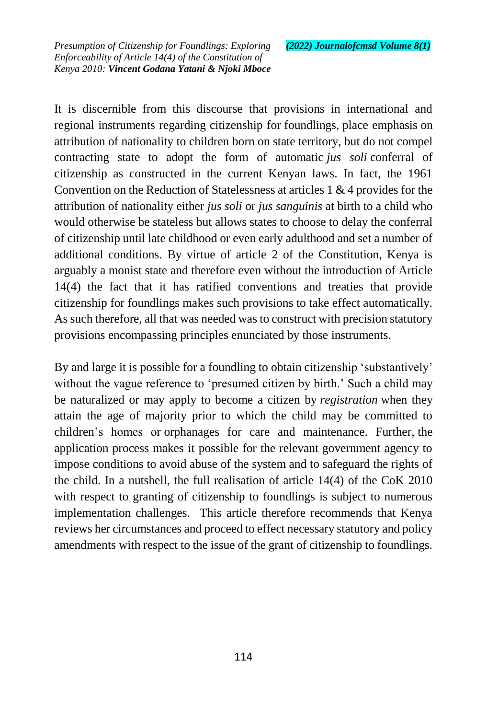It is discernible from this discourse that provisions in international and regional instruments regarding citizenship for foundlings, place emphasis on attribution of nationality to children born on state territory, but do not compel contracting state to adopt the form of automatic *jus soli* conferral of citizenship as constructed in the current Kenyan laws. In fact, the 1961 Convention on the Reduction of Statelessness at articles 1 & 4 provides for the attribution of nationality either *jus soli* or *jus sanguinis* at birth to a child who would otherwise be stateless but allows states to choose to delay the conferral of citizenship until late childhood or even early adulthood and set a number of additional conditions. By virtue of article 2 of the Constitution, Kenya is arguably a monist state and therefore even without the introduction of Article 14(4) the fact that it has ratified conventions and treaties that provide citizenship for foundlings makes such provisions to take effect automatically. As such therefore, all that was needed was to construct with precision statutory provisions encompassing principles enunciated by those instruments.

By and large it is possible for a foundling to obtain citizenship 'substantively' without the vague reference to 'presumed citizen by birth.' Such a child may be naturalized or may apply to become a citizen by *registration* when they attain the age of majority prior to which the child may be committed to children's homes or orphanages for care and maintenance. Further, the application process makes it possible for the relevant government agency to impose conditions to avoid abuse of the system and to safeguard the rights of the child. In a nutshell, the full realisation of article 14(4) of the CoK 2010 with respect to granting of citizenship to foundlings is subject to numerous implementation challenges. This article therefore recommends that Kenya reviews her circumstances and proceed to effect necessary statutory and policy amendments with respect to the issue of the grant of citizenship to foundlings.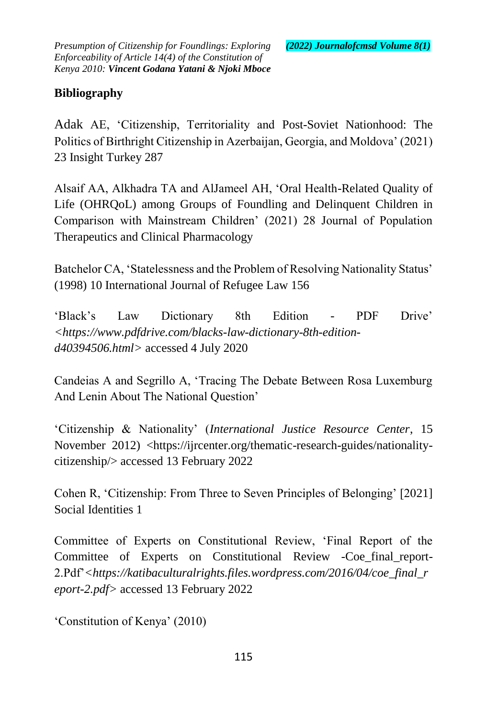## **Bibliography**

Adak AE, 'Citizenship, Territoriality and Post-Soviet Nationhood: The Politics of Birthright Citizenship in Azerbaijan, Georgia, and Moldova' (2021) 23 Insight Turkey 287

Alsaif AA, Alkhadra TA and AlJameel AH, 'Oral Health-Related Quality of Life (OHRQoL) among Groups of Foundling and Delinquent Children in Comparison with Mainstream Children' (2021) 28 Journal of Population Therapeutics and Clinical Pharmacology

Batchelor CA, 'Statelessness and the Problem of Resolving Nationality Status' (1998) 10 International Journal of Refugee Law 156

'Black's Law Dictionary 8th Edition - PDF Drive' *<https://www.pdfdrive.com/blacks-law-dictionary-8th-editiond40394506.html>* accessed 4 July 2020

Candeias A and Segrillo A, 'Tracing The Debate Between Rosa Luxemburg And Lenin About The National Question'

'Citizenship & Nationality' (*International Justice Resource Center*, 15 November 2012) <https://ijrcenter.org/thematic-research-guides/nationalitycitizenship/> accessed 13 February 2022

Cohen R, 'Citizenship: From Three to Seven Principles of Belonging' [2021] Social Identities 1

Committee of Experts on Constitutional Review, 'Final Report of the Committee of Experts on Constitutional Review -Coe\_final\_report-2.Pdf'*<https://katibaculturalrights.files.wordpress.com/2016/04/coe\_final\_r eport-2.pdf>* accessed 13 February 2022

'Constitution of Kenya' (2010)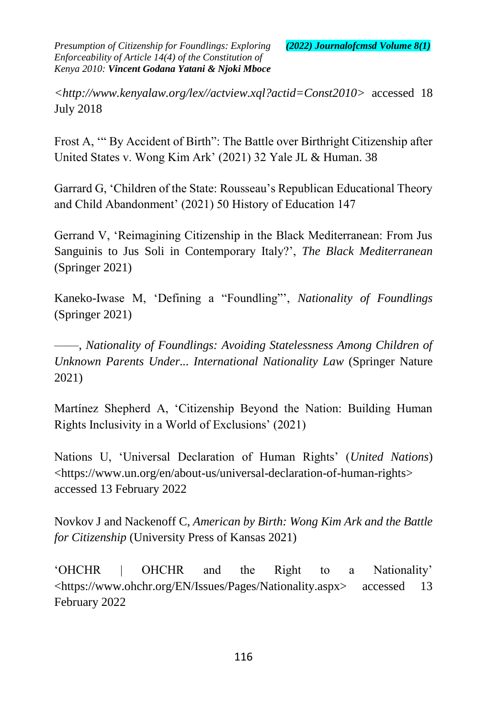*<http://www.kenyalaw.org/lex//actview.xql?actid=Const2010>* accessed 18 July 2018

Frost A, '" By Accident of Birth": The Battle over Birthright Citizenship after United States v. Wong Kim Ark' (2021) 32 Yale JL & Human. 38

Garrard G, 'Children of the State: Rousseau's Republican Educational Theory and Child Abandonment' (2021) 50 History of Education 147

Gerrand V, 'Reimagining Citizenship in the Black Mediterranean: From Jus Sanguinis to Jus Soli in Contemporary Italy?', *The Black Mediterranean* (Springer 2021)

Kaneko-Iwase M, 'Defining a "Foundling"', *Nationality of Foundlings* (Springer 2021)

——, *Nationality of Foundlings: Avoiding Statelessness Among Children of Unknown Parents Under... International Nationality Law* (Springer Nature 2021)

Martínez Shepherd A, 'Citizenship Beyond the Nation: Building Human Rights Inclusivity in a World of Exclusions' (2021)

Nations U, 'Universal Declaration of Human Rights' (*United Nations*) <https://www.un.org/en/about-us/universal-declaration-of-human-rights> accessed 13 February 2022

Novkov J and Nackenoff C, *American by Birth: Wong Kim Ark and the Battle for Citizenship* (University Press of Kansas 2021)

'OHCHR | OHCHR and the Right to a Nationality' <https://www.ohchr.org/EN/Issues/Pages/Nationality.aspx> accessed 13 February 2022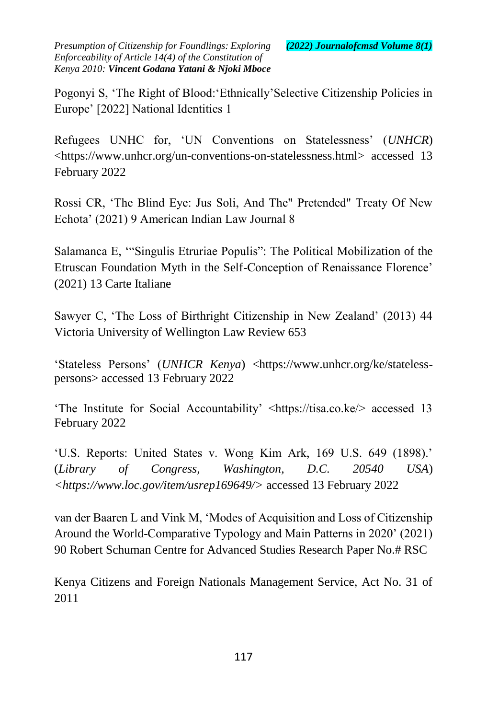Pogonyi S, 'The Right of Blood:'Ethnically'Selective Citizenship Policies in Europe' [2022] National Identities 1

Refugees UNHC for, 'UN Conventions on Statelessness' (*UNHCR*) <https://www.unhcr.org/un-conventions-on-statelessness.html> accessed 13 February 2022

Rossi CR, 'The Blind Eye: Jus Soli, And The" Pretended" Treaty Of New Echota' (2021) 9 American Indian Law Journal 8

Salamanca E, '"Singulis Etruriae Populis": The Political Mobilization of the Etruscan Foundation Myth in the Self-Conception of Renaissance Florence' (2021) 13 Carte Italiane

Sawyer C, 'The Loss of Birthright Citizenship in New Zealand' (2013) 44 Victoria University of Wellington Law Review 653

'Stateless Persons' (*UNHCR Kenya*) <https://www.unhcr.org/ke/statelesspersons> accessed 13 February 2022

'The Institute for Social Accountability' <https://tisa.co.ke/> accessed 13 February 2022

'U.S. Reports: United States v. Wong Kim Ark, 169 U.S. 649 (1898).' (*Library of Congress, Washington, D.C. 20540 USA*) *<https://www.loc.gov/item/usrep169649/>* accessed 13 February 2022

van der Baaren L and Vink M, 'Modes of Acquisition and Loss of Citizenship Around the World-Comparative Typology and Main Patterns in 2020' (2021) 90 Robert Schuman Centre for Advanced Studies Research Paper No.# RSC

Kenya Citizens and Foreign Nationals Management Service, Act No. 31 of 2011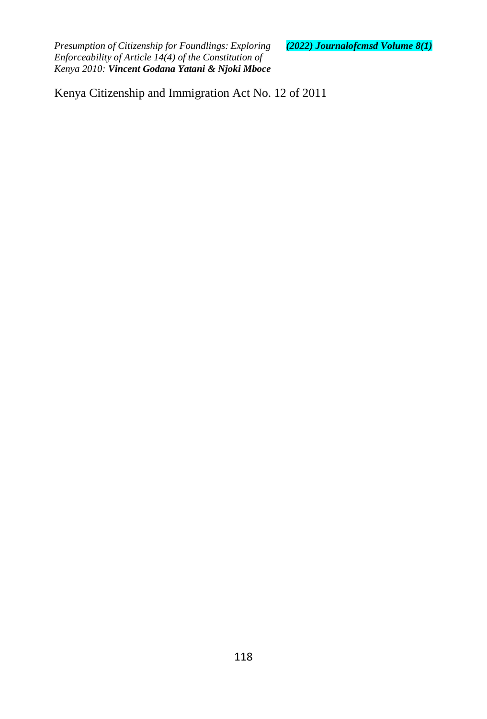Kenya Citizenship and Immigration Act No. 12 of 2011